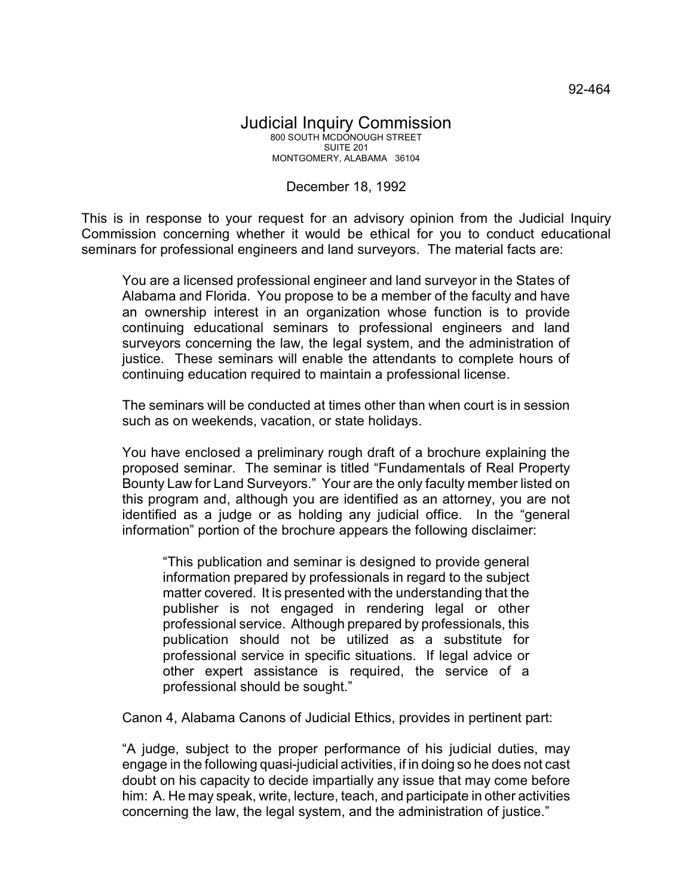## December 18, 1992

This is in response to your request for an advisory opinion from the Judicial Inquiry Commission concerning whether it would be ethical for you to conduct educational seminars for professional engineers and land surveyors. The material facts are:

You are a licensed professional engineer and land surveyor in the States of Alabama and Florida. You propose to be a member of the faculty and have an ownership interest in an organization whose function is to provide continuing educational seminars to professional engineers and land surveyors concerning the law, the legal system, and the administration of justice. These seminars will enable the attendants to complete hours of continuing education required to maintain a professional license.

The seminars will be conducted at times other than when court is in session such as on weekends, vacation, or state holidays.

You have enclosed a preliminary rough draft of a brochure explaining the proposed seminar. The seminar is titled "Fundamentals of Real Property Bounty Law for Land Surveyors." Your are the only faculty member listed on this program and, although you are identified as an attorney, you are not identified as a judge or as holding any judicial office. In the "general information" portion of the brochure appears the following disclaimer:

"This publication and seminar is designed to provide general information prepared by professionals in regard to the subject matter covered. It is presented with the understanding that the publisher is not engaged in rendering legal or other professional service. Although prepared by professionals, this publication should not be utilized as a substitute for professional service in specific situations. If legal advice or other expert assistance is required, the service of a professional should be sought."

Canon 4, Alabama Canons of Judicial Ethics, provides in pertinent part:

"A judge, subject to the proper performance of his judicial duties, may engage in the following quasi-judicial activities, if in doing so he does not cast doubt on his capacity to decide impartially any issue that may come before him: A. He may speak, write, lecture, teach, and participate in other activities concerning the law, the legal system, and the administration of justice."